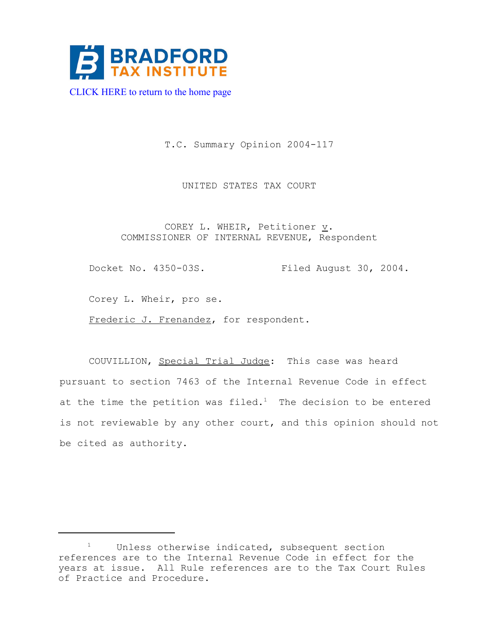

 [CLICK HERE to return to the home page](www.bradfordtaxinstitute.com) 

T.C. Summary Opinion 2004-117

UNITED STATES TAX COURT

COREY L. WHEIR, Petitioner  $\underline{v}$ . COMMISSIONER OF INTERNAL REVENUE, Respondent

Docket No. 4350-03S. Filed August 30, 2004.

Corey L. Wheir, pro se.

Frederic J. Frenandez, for respondent.

COUVILLION, Special Trial Judge: This case was heard pursuant to section 7463 of the Internal Revenue Code in effect at the time the petition was filed.<sup>1</sup> The decision to be entered is not reviewable by any other court, and this opinion should not be cited as authority.

<sup>&</sup>lt;sup>1</sup> Unless otherwise indicated, subsequent section references are to the Internal Revenue Code in effect for the years at issue. All Rule references are to the Tax Court Rules of Practice and Procedure.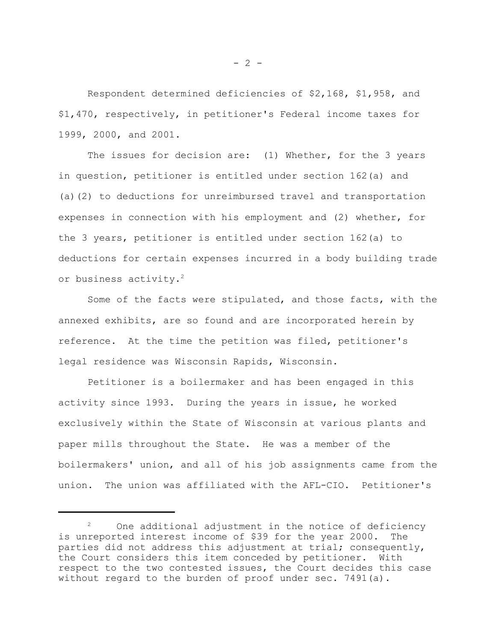Respondent determined deficiencies of \$2,168, \$1,958, and \$1,470, respectively, in petitioner's Federal income taxes for 1999, 2000, and 2001.

The issues for decision are: (1) Whether, for the 3 years in question, petitioner is entitled under section 162(a) and (a)(2) to deductions for unreimbursed travel and transportation expenses in connection with his employment and (2) whether, for the 3 years, petitioner is entitled under section 162(a) to deductions for certain expenses incurred in a body building trade or business activity.<sup>2</sup>

Some of the facts were stipulated, and those facts, with the annexed exhibits, are so found and are incorporated herein by reference. At the time the petition was filed, petitioner's legal residence was Wisconsin Rapids, Wisconsin.

Petitioner is a boilermaker and has been engaged in this activity since 1993. During the years in issue, he worked exclusively within the State of Wisconsin at various plants and paper mills throughout the State. He was a member of the boilermakers' union, and all of his job assignments came from the union. The union was affiliated with the AFL-CIO. Petitioner's

<sup>&</sup>lt;sup>2</sup> One additional adjustment in the notice of deficiency is unreported interest income of \$39 for the year 2000. The parties did not address this adjustment at trial; consequently, the Court considers this item conceded by petitioner. With respect to the two contested issues, the Court decides this case without regard to the burden of proof under sec. 7491(a).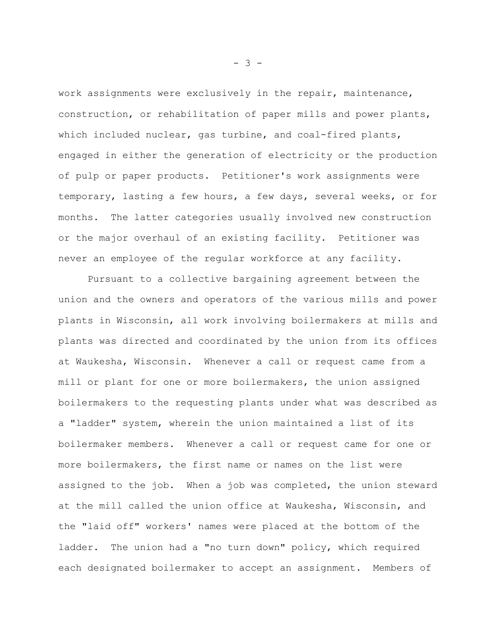work assignments were exclusively in the repair, maintenance, construction, or rehabilitation of paper mills and power plants, which included nuclear, gas turbine, and coal-fired plants, engaged in either the generation of electricity or the production of pulp or paper products. Petitioner's work assignments were temporary, lasting a few hours, a few days, several weeks, or for months. The latter categories usually involved new construction or the major overhaul of an existing facility. Petitioner was never an employee of the regular workforce at any facility.

Pursuant to a collective bargaining agreement between the union and the owners and operators of the various mills and power plants in Wisconsin, all work involving boilermakers at mills and plants was directed and coordinated by the union from its offices at Waukesha, Wisconsin. Whenever a call or request came from a mill or plant for one or more boilermakers, the union assigned boilermakers to the requesting plants under what was described as a "ladder" system, wherein the union maintained a list of its boilermaker members. Whenever a call or request came for one or more boilermakers, the first name or names on the list were assigned to the job. When a job was completed, the union steward at the mill called the union office at Waukesha, Wisconsin, and the "laid off" workers' names were placed at the bottom of the ladder. The union had a "no turn down" policy, which required each designated boilermaker to accept an assignment. Members of

- 3 -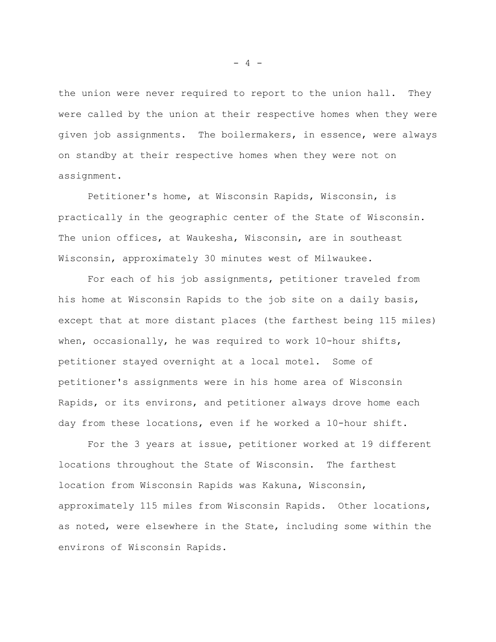the union were never required to report to the union hall. They were called by the union at their respective homes when they were given job assignments. The boilermakers, in essence, were always on standby at their respective homes when they were not on assignment.

Petitioner's home, at Wisconsin Rapids, Wisconsin, is practically in the geographic center of the State of Wisconsin. The union offices, at Waukesha, Wisconsin, are in southeast Wisconsin, approximately 30 minutes west of Milwaukee.

For each of his job assignments, petitioner traveled from his home at Wisconsin Rapids to the job site on a daily basis, except that at more distant places (the farthest being 115 miles) when, occasionally, he was required to work 10-hour shifts, petitioner stayed overnight at a local motel. Some of petitioner's assignments were in his home area of Wisconsin Rapids, or its environs, and petitioner always drove home each day from these locations, even if he worked a 10-hour shift.

For the 3 years at issue, petitioner worked at 19 different locations throughout the State of Wisconsin. The farthest location from Wisconsin Rapids was Kakuna, Wisconsin, approximately 115 miles from Wisconsin Rapids. Other locations, as noted, were elsewhere in the State, including some within the environs of Wisconsin Rapids.

- 4 -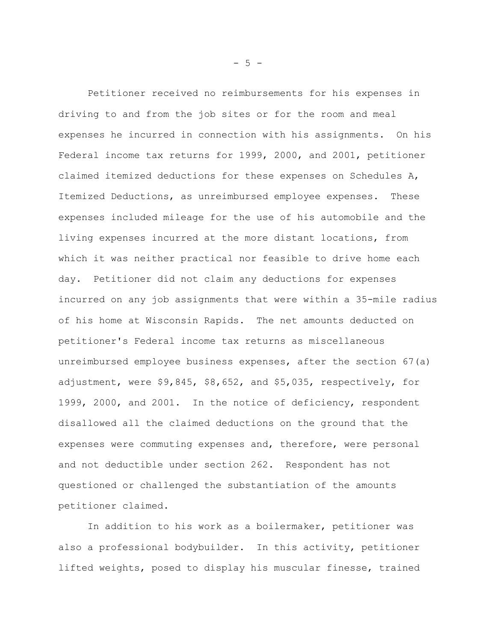Petitioner received no reimbursements for his expenses in driving to and from the job sites or for the room and meal expenses he incurred in connection with his assignments. On his Federal income tax returns for 1999, 2000, and 2001, petitioner claimed itemized deductions for these expenses on Schedules A, Itemized Deductions, as unreimbursed employee expenses. These expenses included mileage for the use of his automobile and the living expenses incurred at the more distant locations, from which it was neither practical nor feasible to drive home each day. Petitioner did not claim any deductions for expenses incurred on any job assignments that were within a 35-mile radius of his home at Wisconsin Rapids. The net amounts deducted on petitioner's Federal income tax returns as miscellaneous unreimbursed employee business expenses, after the section 67(a) adjustment, were \$9,845, \$8,652, and \$5,035, respectively, for 1999, 2000, and 2001. In the notice of deficiency, respondent disallowed all the claimed deductions on the ground that the expenses were commuting expenses and, therefore, were personal and not deductible under section 262. Respondent has not questioned or challenged the substantiation of the amounts petitioner claimed.

In addition to his work as a boilermaker, petitioner was also a professional bodybuilder. In this activity, petitioner lifted weights, posed to display his muscular finesse, trained

 $- 5 -$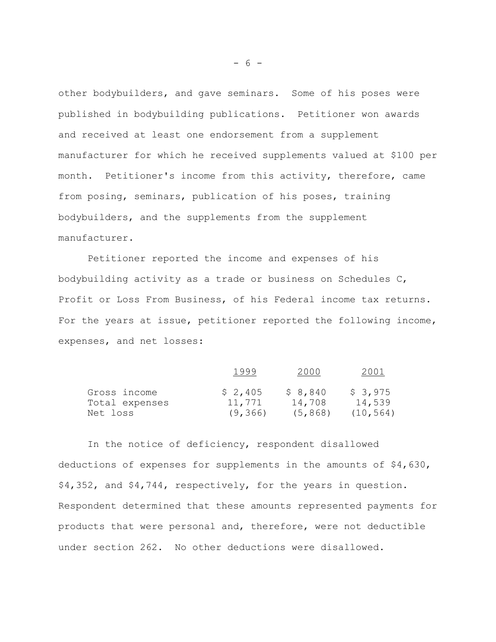other bodybuilders, and gave seminars. Some of his poses were published in bodybuilding publications. Petitioner won awards and received at least one endorsement from a supplement manufacturer for which he received supplements valued at \$100 per month. Petitioner's income from this activity, therefore, came from posing, seminars, publication of his poses, training bodybuilders, and the supplements from the supplement manufacturer.

Petitioner reported the income and expenses of his bodybuilding activity as a trade or business on Schedules C, Profit or Loss From Business, of his Federal income tax returns. For the years at issue, petitioner reported the following income, expenses, and net losses:

|                | 1999     |          |           |
|----------------|----------|----------|-----------|
| Gross income   | \$2,405  | \$8,840  | \$3,975   |
| Total expenses | 11,771   | 14,708   | 14,539    |
| Net loss       | (9, 366) | (5, 868) | (10, 564) |

In the notice of deficiency, respondent disallowed deductions of expenses for supplements in the amounts of \$4,630, \$4,352, and \$4,744, respectively, for the years in question. Respondent determined that these amounts represented payments for products that were personal and, therefore, were not deductible under section 262. No other deductions were disallowed.

- 6 -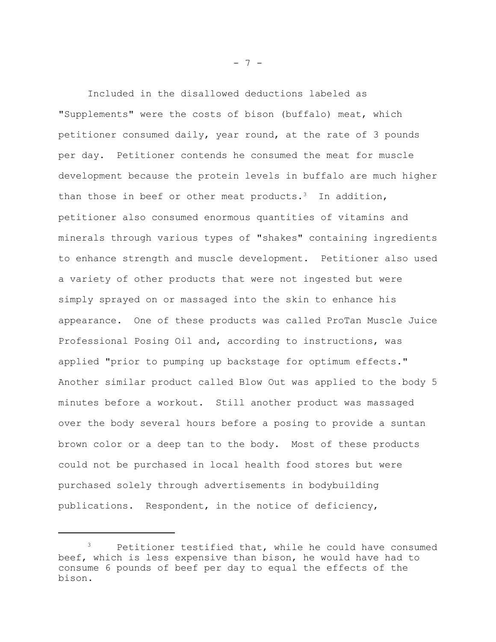Included in the disallowed deductions labeled as "Supplements" were the costs of bison (buffalo) meat, which petitioner consumed daily, year round, at the rate of 3 pounds per day. Petitioner contends he consumed the meat for muscle development because the protein levels in buffalo are much higher than those in beef or other meat products.<sup>3</sup> In addition, petitioner also consumed enormous quantities of vitamins and minerals through various types of "shakes" containing ingredients to enhance strength and muscle development. Petitioner also used a variety of other products that were not ingested but were simply sprayed on or massaged into the skin to enhance his appearance. One of these products was called ProTan Muscle Juice Professional Posing Oil and, according to instructions, was applied "prior to pumping up backstage for optimum effects." Another similar product called Blow Out was applied to the body 5 minutes before a workout. Still another product was massaged over the body several hours before a posing to provide a suntan brown color or a deep tan to the body. Most of these products could not be purchased in local health food stores but were purchased solely through advertisements in bodybuilding publications. Respondent, in the notice of deficiency,

- 7 -

<sup>&</sup>lt;sup>3</sup> Petitioner testified that, while he could have consumed beef, which is less expensive than bison, he would have had to consume 6 pounds of beef per day to equal the effects of the bison.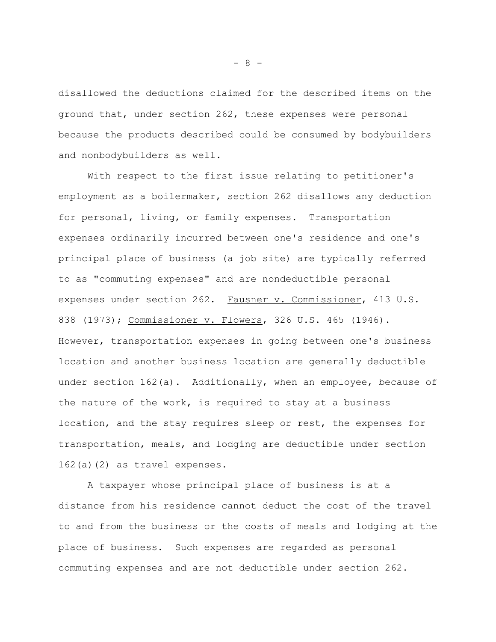disallowed the deductions claimed for the described items on the ground that, under section 262, these expenses were personal because the products described could be consumed by bodybuilders and nonbodybuilders as well.

With respect to the first issue relating to petitioner's employment as a boilermaker, section 262 disallows any deduction for personal, living, or family expenses. Transportation expenses ordinarily incurred between one's residence and one's principal place of business (a job site) are typically referred to as "commuting expenses" and are nondeductible personal expenses under section 262. Fausner v. Commissioner, 413 U.S. 838 (1973); Commissioner v. Flowers, 326 U.S. 465 (1946). However, transportation expenses in going between one's business location and another business location are generally deductible under section  $162(a)$ . Additionally, when an employee, because of the nature of the work, is required to stay at a business location, and the stay requires sleep or rest, the expenses for transportation, meals, and lodging are deductible under section 162(a)(2) as travel expenses.

A taxpayer whose principal place of business is at a distance from his residence cannot deduct the cost of the travel to and from the business or the costs of meals and lodging at the place of business. Such expenses are regarded as personal commuting expenses and are not deductible under section 262.

- 8 -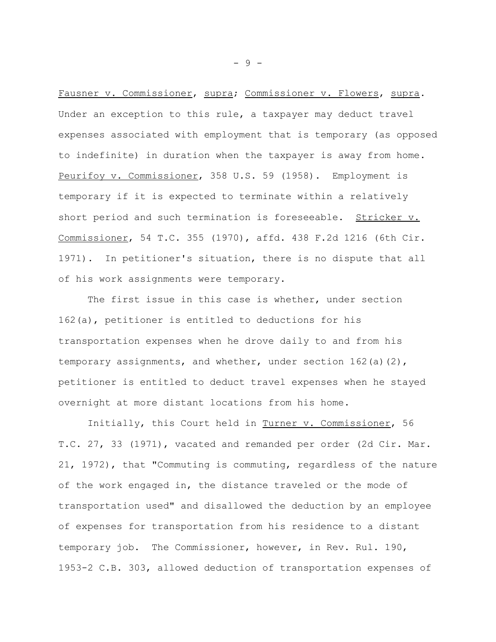Fausner v. Commissioner, supra; Commissioner v. Flowers, supra. Under an exception to this rule, a taxpayer may deduct travel expenses associated with employment that is temporary (as opposed to indefinite) in duration when the taxpayer is away from home. Peurifoy v. Commissioner, 358 U.S. 59 (1958). Employment is temporary if it is expected to terminate within a relatively short period and such termination is foreseeable. Stricker v. Commissioner, 54 T.C. 355 (1970), affd. 438 F.2d 1216 (6th Cir. 1971). In petitioner's situation, there is no dispute that all of his work assignments were temporary.

The first issue in this case is whether, under section 162(a), petitioner is entitled to deductions for his transportation expenses when he drove daily to and from his temporary assignments, and whether, under section 162(a)(2), petitioner is entitled to deduct travel expenses when he stayed overnight at more distant locations from his home.

Initially, this Court held in Turner v. Commissioner, 56 T.C. 27, 33 (1971), vacated and remanded per order (2d Cir. Mar. 21, 1972), that "Commuting is commuting, regardless of the nature of the work engaged in, the distance traveled or the mode of transportation used" and disallowed the deduction by an employee of expenses for transportation from his residence to a distant temporary job. The Commissioner, however, in Rev. Rul. 190, 1953-2 C.B. 303, allowed deduction of transportation expenses of

- 9 -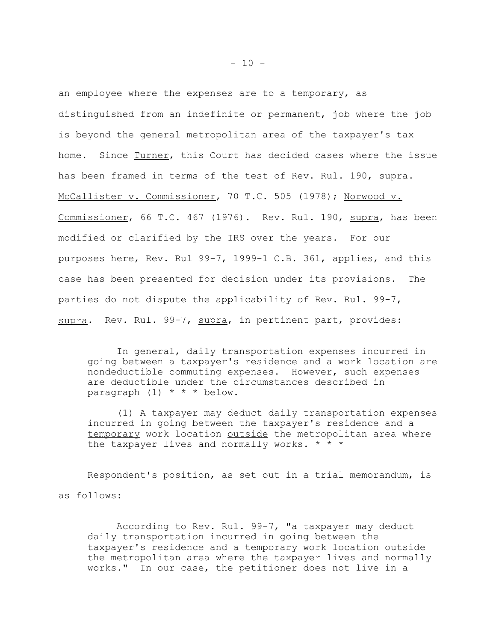an employee where the expenses are to a temporary, as distinguished from an indefinite or permanent, job where the job is beyond the general metropolitan area of the taxpayer's tax home. Since Turner, this Court has decided cases where the issue has been framed in terms of the test of Rev. Rul. 190, supra. McCallister v. Commissioner, 70 T.C. 505 (1978); Norwood v. Commissioner, 66 T.C. 467 (1976). Rev. Rul. 190, supra, has been modified or clarified by the IRS over the years. For our purposes here, Rev. Rul 99-7, 1999-1 C.B. 361, applies, and this case has been presented for decision under its provisions. The parties do not dispute the applicability of Rev. Rul. 99-7, supra. Rev. Rul. 99-7, supra, in pertinent part, provides:

In general, daily transportation expenses incurred in going between a taxpayer's residence and a work location are nondeductible commuting expenses. However, such expenses are deductible under the circumstances described in paragraph  $(1)$  \* \* \* below.

(1) A taxpayer may deduct daily transportation expenses incurred in going between the taxpayer's residence and a temporary work location outside the metropolitan area where the taxpayer lives and normally works.  $* * *$ 

Respondent's position, as set out in a trial memorandum, is as follows:

According to Rev. Rul. 99-7, "a taxpayer may deduct daily transportation incurred in going between the taxpayer's residence and a temporary work location outside the metropolitan area where the taxpayer lives and normally works." In our case, the petitioner does not live in a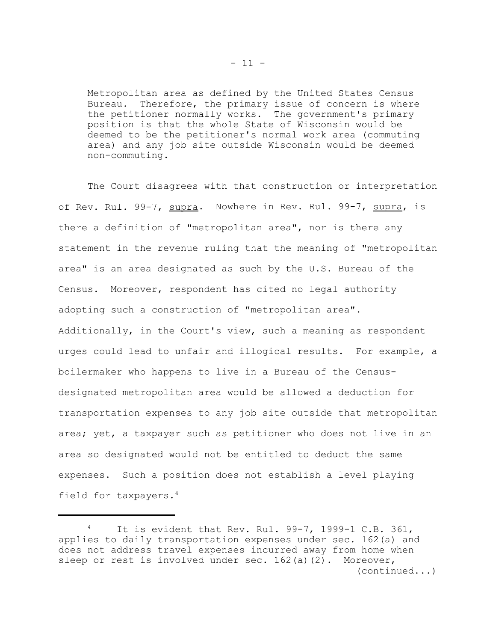Metropolitan area as defined by the United States Census<br>Bureau. Therefore, the primary issue of concern is where Therefore, the primary issue of concern is where the petitioner normally works. The government's primary position is that the whole State of Wisconsin would be deemed to be the petitioner's normal work area (commuting area) and any job site outside Wisconsin would be deemed non-commuting.

The Court disagrees with that construction or interpretation of Rev. Rul. 99-7, supra. Nowhere in Rev. Rul. 99-7, supra, is there a definition of "metropolitan area", nor is there any statement in the revenue ruling that the meaning of "metropolitan area" is an area designated as such by the U.S. Bureau of the Census. Moreover, respondent has cited no legal authority adopting such a construction of "metropolitan area". Additionally, in the Court's view, such a meaning as respondent urges could lead to unfair and illogical results. For example, a boilermaker who happens to live in a Bureau of the Censusdesignated metropolitan area would be allowed a deduction for transportation expenses to any job site outside that metropolitan area; yet, a taxpayer such as petitioner who does not live in an area so designated would not be entitled to deduct the same expenses. Such a position does not establish a level playing field for taxpayers.4

It is evident that Rev. Rul. 99-7, 1999-1 C.B. 361, applies to daily transportation expenses under sec. 162(a) and does not address travel expenses incurred away from home when sleep or rest is involved under sec.  $162(a)(2)$ . Moreover, (continued...)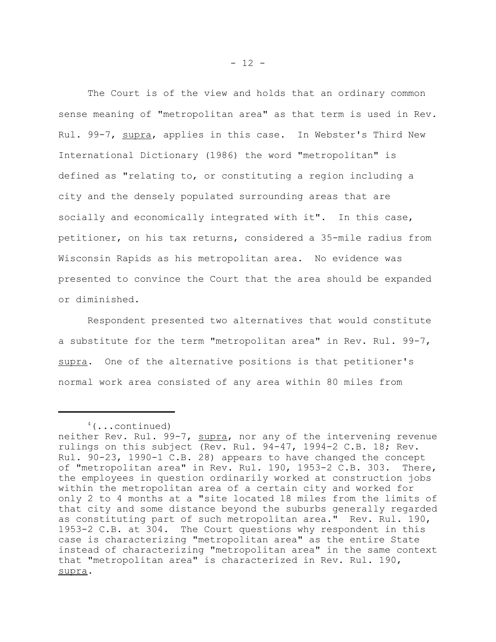The Court is of the view and holds that an ordinary common sense meaning of "metropolitan area" as that term is used in Rev. Rul. 99-7, supra, applies in this case. In Webster's Third New International Dictionary (1986) the word "metropolitan" is defined as "relating to, or constituting a region including a city and the densely populated surrounding areas that are socially and economically integrated with it". In this case, petitioner, on his tax returns, considered a 35-mile radius from Wisconsin Rapids as his metropolitan area. No evidence was presented to convince the Court that the area should be expanded or diminished.

Respondent presented two alternatives that would constitute a substitute for the term "metropolitan area" in Rev. Rul. 99-7, supra. One of the alternative positions is that petitioner's normal work area consisted of any area within 80 miles from

 $4$  (...continued)

neither Rev. Rul. 99-7, supra, nor any of the intervening revenue rulings on this subject (Rev. Rul. 94-47, 1994-2 C.B. 18; Rev. Rul. 90-23, 1990-1 C.B. 28) appears to have changed the concept of "metropolitan area" in Rev. Rul. 190, 1953-2 C.B. 303. There, the employees in question ordinarily worked at construction jobs within the metropolitan area of a certain city and worked for only 2 to 4 months at a "site located 18 miles from the limits of that city and some distance beyond the suburbs generally regarded as constituting part of such metropolitan area." Rev. Rul. 190, 1953-2 C.B. at 304. The Court questions why respondent in this case is characterizing "metropolitan area" as the entire State instead of characterizing "metropolitan area" in the same context that "metropolitan area" is characterized in Rev. Rul. 190, supra.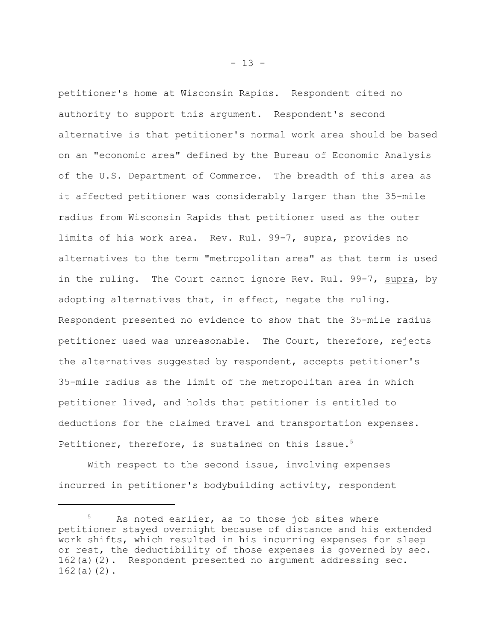petitioner's home at Wisconsin Rapids. Respondent cited no authority to support this argument. Respondent's second alternative is that petitioner's normal work area should be based on an "economic area" defined by the Bureau of Economic Analysis of the U.S. Department of Commerce. The breadth of this area as it affected petitioner was considerably larger than the 35-mile radius from Wisconsin Rapids that petitioner used as the outer limits of his work area. Rev. Rul. 99-7, supra, provides no alternatives to the term "metropolitan area" as that term is used in the ruling. The Court cannot ignore Rev. Rul. 99-7, supra, by adopting alternatives that, in effect, negate the ruling. Respondent presented no evidence to show that the 35-mile radius petitioner used was unreasonable. The Court, therefore, rejects the alternatives suggested by respondent, accepts petitioner's 35-mile radius as the limit of the metropolitan area in which petitioner lived, and holds that petitioner is entitled to deductions for the claimed travel and transportation expenses. Petitioner, therefore, is sustained on this issue.<sup>5</sup>

With respect to the second issue, involving expenses incurred in petitioner's bodybuilding activity, respondent

 $- 13 -$ 

As noted earlier, as to those job sites where petitioner stayed overnight because of distance and his extended work shifts, which resulted in his incurring expenses for sleep or rest, the deductibility of those expenses is governed by sec. 162(a)(2). Respondent presented no argument addressing sec. 162(a)(2).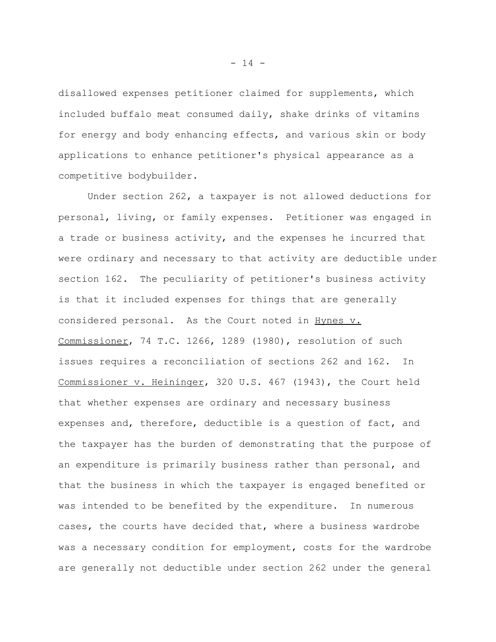disallowed expenses petitioner claimed for supplements, which included buffalo meat consumed daily, shake drinks of vitamins for energy and body enhancing effects, and various skin or body applications to enhance petitioner's physical appearance as a competitive bodybuilder.

Under section 262, a taxpayer is not allowed deductions for personal, living, or family expenses. Petitioner was engaged in a trade or business activity, and the expenses he incurred that were ordinary and necessary to that activity are deductible under section 162. The peculiarity of petitioner's business activity is that it included expenses for things that are generally considered personal. As the Court noted in Hynes v. Commissioner, 74 T.C. 1266, 1289 (1980), resolution of such issues requires a reconciliation of sections 262 and 162. In Commissioner v. Heininger, 320 U.S. 467 (1943), the Court held that whether expenses are ordinary and necessary business expenses and, therefore, deductible is a question of fact, and the taxpayer has the burden of demonstrating that the purpose of an expenditure is primarily business rather than personal, and that the business in which the taxpayer is engaged benefited or was intended to be benefited by the expenditure. In numerous cases, the courts have decided that, where a business wardrobe was a necessary condition for employment, costs for the wardrobe are generally not deductible under section 262 under the general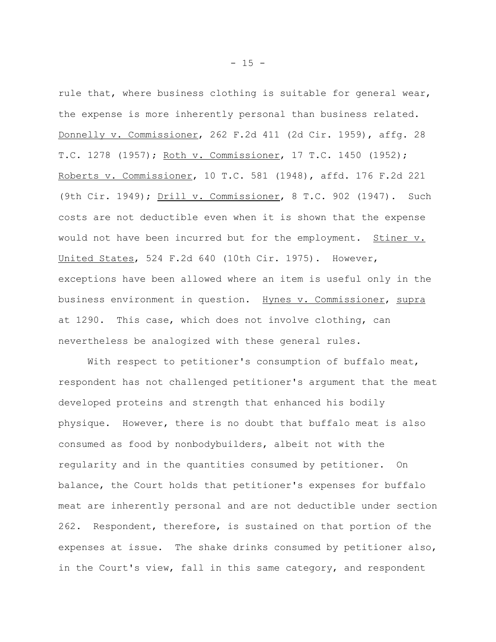rule that, where business clothing is suitable for general wear, the expense is more inherently personal than business related. Donnelly v. Commissioner, 262 F.2d 411 (2d Cir. 1959), affg. 28 T.C. 1278 (1957); Roth v. Commissioner, 17 T.C. 1450 (1952); Roberts v. Commissioner, 10 T.C. 581 (1948), affd. 176 F.2d 221 (9th Cir. 1949); Drill v. Commissioner, 8 T.C. 902 (1947). Such costs are not deductible even when it is shown that the expense would not have been incurred but for the employment. Stiner v. United States, 524 F.2d 640 (10th Cir. 1975). However, exceptions have been allowed where an item is useful only in the business environment in question. Hynes v. Commissioner, supra at 1290. This case, which does not involve clothing, can nevertheless be analogized with these general rules.

With respect to petitioner's consumption of buffalo meat, respondent has not challenged petitioner's argument that the meat developed proteins and strength that enhanced his bodily physique. However, there is no doubt that buffalo meat is also consumed as food by nonbodybuilders, albeit not with the regularity and in the quantities consumed by petitioner. On balance, the Court holds that petitioner's expenses for buffalo meat are inherently personal and are not deductible under section 262. Respondent, therefore, is sustained on that portion of the expenses at issue. The shake drinks consumed by petitioner also, in the Court's view, fall in this same category, and respondent

 $- 15 -$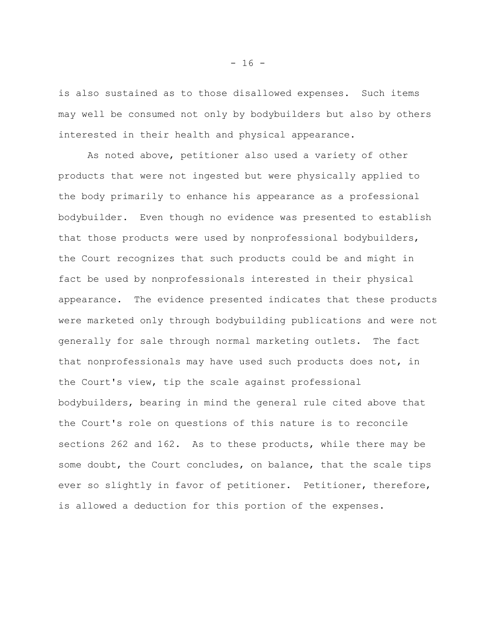is also sustained as to those disallowed expenses. Such items may well be consumed not only by bodybuilders but also by others interested in their health and physical appearance.

As noted above, petitioner also used a variety of other products that were not ingested but were physically applied to the body primarily to enhance his appearance as a professional bodybuilder. Even though no evidence was presented to establish that those products were used by nonprofessional bodybuilders, the Court recognizes that such products could be and might in fact be used by nonprofessionals interested in their physical appearance. The evidence presented indicates that these products were marketed only through bodybuilding publications and were not generally for sale through normal marketing outlets. The fact that nonprofessionals may have used such products does not, in the Court's view, tip the scale against professional bodybuilders, bearing in mind the general rule cited above that the Court's role on questions of this nature is to reconcile sections 262 and 162. As to these products, while there may be some doubt, the Court concludes, on balance, that the scale tips ever so slightly in favor of petitioner. Petitioner, therefore, is allowed a deduction for this portion of the expenses.